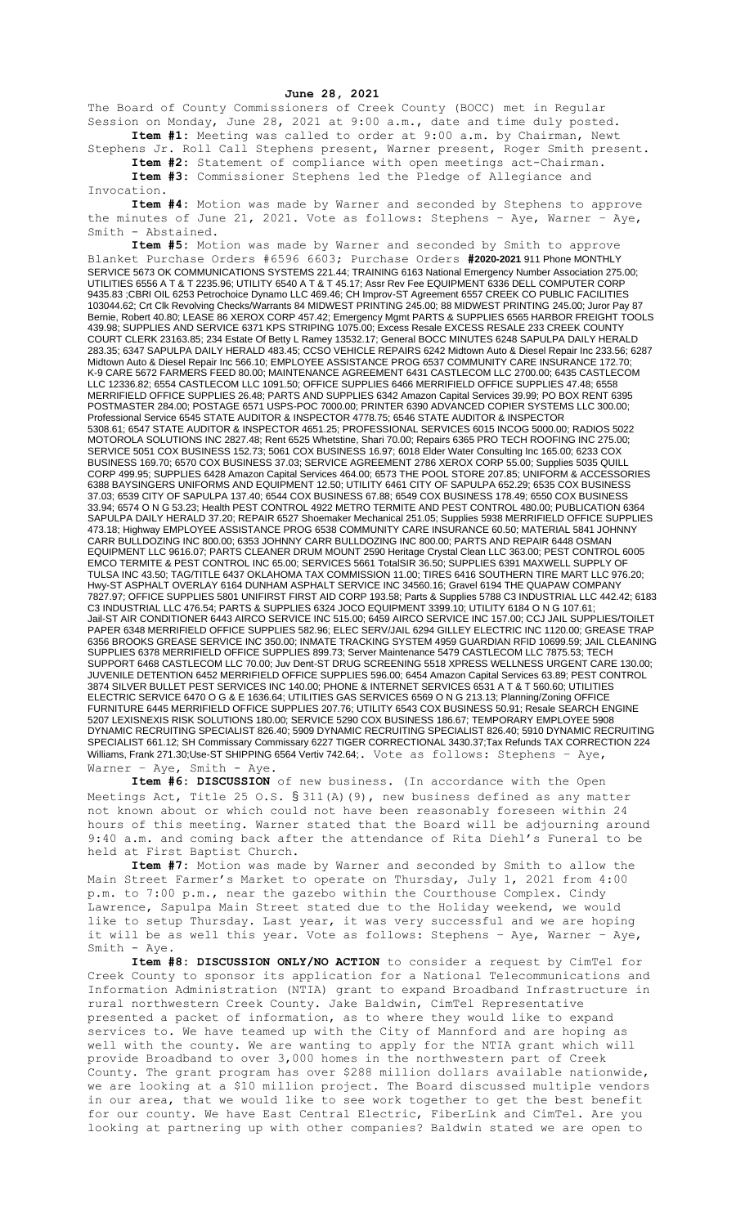## **June 28, 2021**

The Board of County Commissioners of Creek County (BOCC) met in Regular Session on Monday, June 28, 2021 at 9:00 a.m., date and time duly posted. **Item #1:** Meeting was called to order at 9:00 a.m. by Chairman, Newt

Stephens Jr. Roll Call Stephens present, Warner present, Roger Smith present. **Item #2:** Statement of compliance with open meetings act-Chairman.

**Item #3:** Commissioner Stephens led the Pledge of Allegiance and Invocation.

**Item #4:** Motion was made by Warner and seconded by Stephens to approve the minutes of June 21, 2021. Vote as follows: Stephens – Aye, Warner – Aye, Smith - Abstained.

**Item #5:** Motion was made by Warner and seconded by Smith to approve Blanket Purchase Orders #6596 6603; Purchase Orders **#2020-2021** 911 Phone MONTHLY SERVICE 5673 OK COMMUNICATIONS SYSTEMS 221.44; TRAINING 6163 National Emergency Number Association 275.00; UTILITIES 6556 A T & T 2235.96; UTILITY 6540 A T & T 45.17; Assr Rev Fee EQUIPMENT 6336 DELL COMPUTER CORP 9435.83 ;CBRI OIL 6253 Petrochoice Dynamo LLC 469.46; CH Improv-ST Agreement 6557 CREEK CO PUBLIC FACILITIES 103044.62; Crt Clk Revolving Checks/Warrants 84 MIDWEST PRINTING 245.00; 88 MIDWEST PRINTING 245.00; Juror Pay 87 Bernie, Robert 40.80; LEASE 86 XEROX CORP 457.42; Emergency Mgmt PARTS & SUPPLIES 6565 HARBOR FREIGHT TOOLS 439.98; SUPPLIES AND SERVICE 6371 KPS STRIPING 1075.00; Excess Resale EXCESS RESALE 233 CREEK COUNTY COURT CLERK 23163.85; 234 Estate Of Betty L Ramey 13532.17; General BOCC MINUTES 6248 SAPULPA DAILY HERALD 283.35; 6347 SAPULPA DAILY HERALD 483.45; CCSO VEHICLE REPAIRS 6242 Midtown Auto & Diesel Repair Inc 233.56; 6287 Midtown Auto & Diesel Repair Inc 566.10; EMPLOYEE ASSISTANCE PROG 6537 COMMUNITY CARE INSURANCE 172.70; K-9 CARE 5672 FARMERS FEED 80.00; MAINTENANCE AGREEMENT 6431 CASTLECOM LLC 2700.00; 6435 CASTLECOM LLC 12336.82; 6554 CASTLECOM LLC 1091.50; OFFICE SUPPLIES 6466 MERRIFIELD OFFICE SUPPLIES 47.48; 6558 MERRIFIELD OFFICE SUPPLIES 26.48; PARTS AND SUPPLIES 6342 Amazon Capital Services 39.99; PO BOX RENT 6395 POSTMASTER 284.00; POSTAGE 6571 USPS-POC 7000.00; PRINTER 6390 ADVANCED COPIER SYSTEMS LLC 300.00; Professional Service 6545 STATE AUDITOR & INSPECTOR 4778.75; 6546 STATE AUDITOR & INSPECTOR 5308.61; 6547 STATE AUDITOR & INSPECTOR 4651.25; PROFESSIONAL SERVICES 6015 INCOG 5000.00; RADIOS 5022 MOTOROLA SOLUTIONS INC 2827.48; Rent 6525 Whetstine, Shari 70.00; Repairs 6365 PRO TECH ROOFING INC 275.00; SERVICE 5051 COX BUSINESS 152.73; 5061 COX BUSINESS 16.97; 6018 Elder Water Consulting Inc 165.00; 6233 COX BUSINESS 169.70; 6570 COX BUSINESS 37.03; SERVICE AGREEMENT 2786 XEROX CORP 55.00; Supplies 5035 QUILL CORP 499.95; SUPPLIES 6428 Amazon Capital Services 464.00; 6573 THE POOL STORE 207.85; UNIFORM & ACCESSORIES 6388 BAYSINGERS UNIFORMS AND EQUIPMENT 12.50; UTILITY 6461 CITY OF SAPULPA 652.29; 6535 COX BUSINESS 37.03; 6539 CITY OF SAPULPA 137.40; 6544 COX BUSINESS 67.88; 6549 COX BUSINESS 178.49; 6550 COX BUSINESS 33.94; 6574 O N G 53.23; Health PEST CONTROL 4922 METRO TERMITE AND PEST CONTROL 480.00; PUBLICATION 6364 SAPULPA DAILY HERALD 37.20; REPAIR 6527 Shoemaker Mechanical 251.05; Supplies 5938 MERRIFIELD OFFICE SUPPLIES 473.18; Highway EMPLOYEE ASSISTANCE PROG 6538 COMMUNITY CARE INSURANCE 60.50; MATERIAL 5841 JOHNNY CARR BULLDOZING INC 800.00; 6353 JOHNNY CARR BULLDOZING INC 800.00; PARTS AND REPAIR 6448 OSMAN EQUIPMENT LLC 9616.07; PARTS CLEANER DRUM MOUNT 2590 Heritage Crystal Clean LLC 363.00; PEST CONTROL 6005 EMCO TERMITE & PEST CONTROL INC 65.00; SERVICES 5661 TotalSIR 36.50; SUPPLIES 6391 MAXWELL SUPPLY OF TULSA INC 43.50; TAG/TITLE 6437 OKLAHOMA TAX COMMISSION 11.00; TIRES 6416 SOUTHERN TIRE MART LLC 976.20; Hwy-ST ASPHALT OVERLAY 6164 DUNHAM ASPHALT SERVICE INC 34560.16; Gravel 6194 THE QUAPAW COMPANY 7827.97; OFFICE SUPPLIES 5801 UNIFIRST FIRST AID CORP 193.58; Parts & Supplies 5788 C3 INDUSTRIAL LLC 442.42; 6183 C3 INDUSTRIAL LLC 476.54; PARTS & SUPPLIES 6324 JOCO EQUIPMENT 3399.10; UTILITY 6184 O N G 107.61; Jail-ST AIR CONDITIONER 6443 AIRCO SERVICE INC 515.00; 6459 AIRCO SERVICE INC 157.00; CCJ JAIL SUPPLIES/TOILET PAPER 6348 MERRIFIELD OFFICE SUPPLIES 582.96; ELEC SERV/JAIL 6294 GILLEY ELECTRIC INC 1120.00; GREASE TRAP 6356 BROOKS GREASE SERVICE INC 350.00; INMATE TRACKING SYSTEM 4959 GUARDIAN RFID 10699.59; JAIL CLEANING SUPPLIES 6378 MERRIFIELD OFFICE SUPPLIES 899.73; Server Maintenance 5479 CASTLECOM LLC 7875.53; TECH SUPPORT 6468 CASTLECOM LLC 70.00; Juv Dent-ST DRUG SCREENING 5518 XPRESS WELLNESS URGENT CARE 130.00; JUVENILE DETENTION 6452 MERRIFIELD OFFICE SUPPLIES 596.00; 6454 Amazon Capital Services 63.89; PEST CONTROL 3874 SILVER BULLET PEST SERVICES INC 140.00; PHONE & INTERNET SERVICES 6531 A T & T 560.60; UTILITIES ELECTRIC SERVICE 6470 O G & E 1636.64; UTILITIES GAS SERVICES 6569 O N G 213.13; Planning/Zoning OFFICE FURNITURE 6445 MERRIFIELD OFFICE SUPPLIES 207.76; UTILITY 6543 COX BUSINESS 50.91; Resale SEARCH ENGINE 5207 LEXISNEXIS RISK SOLUTIONS 180.00; SERVICE 5290 COX BUSINESS 186.67; TEMPORARY EMPLOYEE 5908 DYNAMIC RECRUITING SPECIALIST 826.40; 5909 DYNAMIC RECRUITING SPECIALIST 826.40; 5910 DYNAMIC RECRUITING SPECIALIST 661.12; SH Commissary Commissary 6227 TIGER CORRECTIONAL 3430.37;Tax Refunds TAX CORRECTION 224 Williams, Frank 271.30;Use-ST SHIPPING 6564 Vertiv 742.64; Vote as follows: Stephens - Aye, Warner - Aye, Smith - Aye.

**Item #6: DISCUSSION** of new business. (In accordance with the Open Meetings Act, Title 25 O.S. § 311(A)(9), new business defined as any matter not known about or which could not have been reasonably foreseen within 24 hours of this meeting. Warner stated that the Board will be adjourning around 9:40 a.m. and coming back after the attendance of Rita Diehl's Funeral to be held at First Baptist Church.

**Item #7:** Motion was made by Warner and seconded by Smith to allow the Main Street Farmer's Market to operate on Thursday, July 1, 2021 from 4:00 p.m. to 7:00 p.m., near the gazebo within the Courthouse Complex. Cindy Lawrence, Sapulpa Main Street stated due to the Holiday weekend, we would like to setup Thursday. Last year, it was very successful and we are hoping it will be as well this year. Vote as follows: Stephens – Aye, Warner – Aye, Smith - Aye.

**Item #8: DISCUSSION ONLY/NO ACTION** to consider a request by CimTel for Creek County to sponsor its application for a National Telecommunications and Information Administration (NTIA) grant to expand Broadband Infrastructure in rural northwestern Creek County. Jake Baldwin, CimTel Representative presented a packet of information, as to where they would like to expand services to. We have teamed up with the City of Mannford and are hoping as well with the county. We are wanting to apply for the NTIA grant which will provide Broadband to over 3,000 homes in the northwestern part of Creek County. The grant program has over \$288 million dollars available nationwide, we are looking at a \$10 million project. The Board discussed multiple vendors in our area, that we would like to see work together to get the best benefit for our county. We have East Central Electric, FiberLink and CimTel. Are you looking at partnering up with other companies? Baldwin stated we are open to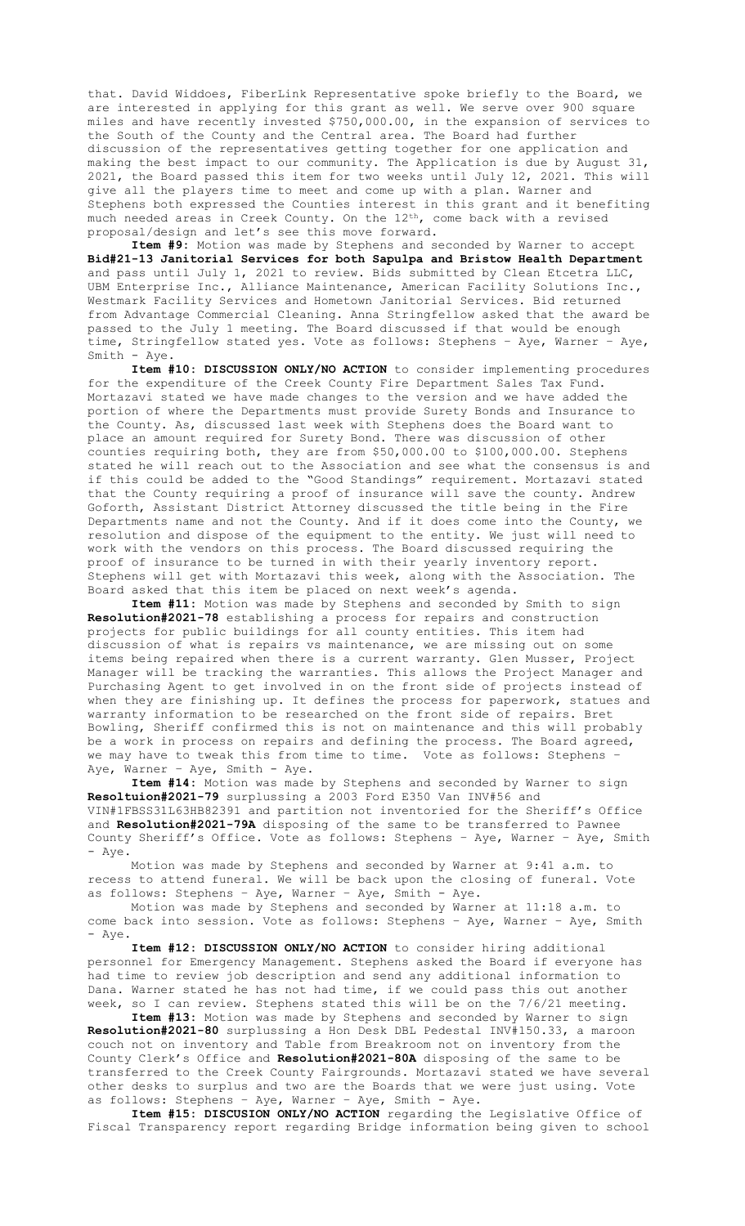that. David Widdoes, FiberLink Representative spoke briefly to the Board, we are interested in applying for this grant as well. We serve over 900 square miles and have recently invested \$750,000.00, in the expansion of services to the South of the County and the Central area. The Board had further discussion of the representatives getting together for one application and making the best impact to our community. The Application is due by August 31, 2021, the Board passed this item for two weeks until July 12, 2021. This will give all the players time to meet and come up with a plan. Warner and Stephens both expressed the Counties interest in this grant and it benefiting much needed areas in Creek County. On the 12th, come back with a revised proposal/design and let's see this move forward.

**Item #9:** Motion was made by Stephens and seconded by Warner to accept **Bid#21-13 Janitorial Services for both Sapulpa and Bristow Health Department** and pass until July 1, 2021 to review. Bids submitted by Clean Etcetra LLC, UBM Enterprise Inc., Alliance Maintenance, American Facility Solutions Inc., Westmark Facility Services and Hometown Janitorial Services. Bid returned from Advantage Commercial Cleaning. Anna Stringfellow asked that the award be passed to the July 1 meeting. The Board discussed if that would be enough time, Stringfellow stated yes. Vote as follows: Stephens - Aye, Warner - Aye, Smith - Aye.

**Item #10: DISCUSSION ONLY/NO ACTION** to consider implementing procedures for the expenditure of the Creek County Fire Department Sales Tax Fund. Mortazavi stated we have made changes to the version and we have added the portion of where the Departments must provide Surety Bonds and Insurance to the County. As, discussed last week with Stephens does the Board want to place an amount required for Surety Bond. There was discussion of other counties requiring both, they are from \$50,000.00 to \$100,000.00. Stephens stated he will reach out to the Association and see what the consensus is and if this could be added to the "Good Standings" requirement. Mortazavi stated that the County requiring a proof of insurance will save the county. Andrew Goforth, Assistant District Attorney discussed the title being in the Fire Departments name and not the County. And if it does come into the County, we resolution and dispose of the equipment to the entity. We just will need to work with the vendors on this process. The Board discussed requiring the proof of insurance to be turned in with their yearly inventory report. Stephens will get with Mortazavi this week, along with the Association. The Board asked that this item be placed on next week's agenda.

**Item #11:** Motion was made by Stephens and seconded by Smith to sign **Resolution#2021-78** establishing a process for repairs and construction projects for public buildings for all county entities. This item had discussion of what is repairs vs maintenance, we are missing out on some items being repaired when there is a current warranty. Glen Musser, Project Manager will be tracking the warranties. This allows the Project Manager and Purchasing Agent to get involved in on the front side of projects instead of when they are finishing up. It defines the process for paperwork, statues and warranty information to be researched on the front side of repairs. Bret Bowling, Sheriff confirmed this is not on maintenance and this will probably be a work in process on repairs and defining the process. The Board agreed, we may have to tweak this from time to time. Vote as follows: Stephens – Aye, Warner - Aye, Smith - Aye.

**Item #14:** Motion was made by Stephens and seconded by Warner to sign **Resoltuion#2021-79** surplussing a 2003 Ford E350 Van INV#56 and VIN#1FBSS31L63HB82391 and partition not inventoried for the Sheriff's Office and **Resolution#2021-79A** disposing of the same to be transferred to Pawnee County Sheriff's Office. Vote as follows: Stephens – Aye, Warner – Aye, Smith - Aye.

Motion was made by Stephens and seconded by Warner at 9:41 a.m. to recess to attend funeral. We will be back upon the closing of funeral. Vote as follows: Stephens – Aye, Warner – Aye, Smith - Aye.

Motion was made by Stephens and seconded by Warner at 11:18 a.m. to come back into session. Vote as follows: Stephens – Aye, Warner – Aye, Smith - Aye.

**Item #12: DISCUSSION ONLY/NO ACTION** to consider hiring additional personnel for Emergency Management. Stephens asked the Board if everyone has had time to review job description and send any additional information to Dana. Warner stated he has not had time, if we could pass this out another week, so I can review. Stephens stated this will be on the 7/6/21 meeting.

**Item #13:** Motion was made by Stephens and seconded by Warner to sign **Resolution#2021-80** surplussing a Hon Desk DBL Pedestal INV#150.33, a maroon couch not on inventory and Table from Breakroom not on inventory from the County Clerk's Office and **Resolution#2021-80A** disposing of the same to be transferred to the Creek County Fairgrounds. Mortazavi stated we have several other desks to surplus and two are the Boards that we were just using. Vote as follows: Stephens – Aye, Warner – Aye, Smith - Aye.

**Item #15: DISCUSION ONLY/NO ACTION** regarding the Legislative Office of Fiscal Transparency report regarding Bridge information being given to school